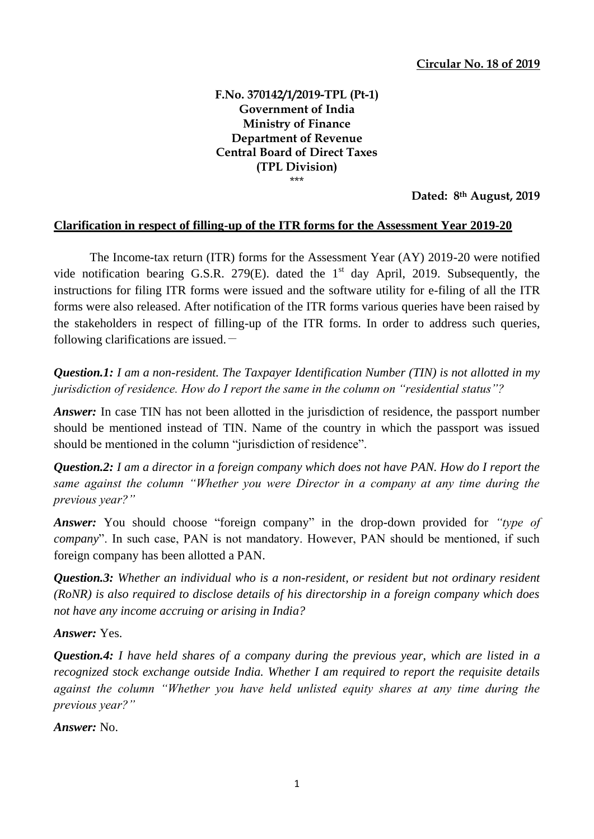## **F.No. 370142/1/2019-TPL (Pt-1) Government of India Ministry of Finance Department of Revenue Central Board of Direct Taxes (TPL Division)** \*\*\*

**Dated: 8th August, 2019**

## **Clarification in respect of filling-up of the ITR forms for the Assessment Year 2019-20**

The Income-tax return (ITR) forms for the Assessment Year (AY) 2019-20 were notified vide notification bearing G.S.R. 279 $(E)$ . dated the 1<sup>st</sup> day April, 2019. Subsequently, the instructions for filing ITR forms were issued and the software utility for e-filing of all the ITR forms were also released. After notification of the ITR forms various queries have been raised by the stakeholders in respect of filling-up of the ITR forms. In order to address such queries, following clarifications are issued.  $-$ 

*Question.1: I am a non-resident. The Taxpayer Identification Number (TIN) is not allotted in my jurisdiction of residence. How do I report the same in the column on "residential status"?*

*Answer*: In case TIN has not been allotted in the jurisdiction of residence, the passport number should be mentioned instead of TIN. Name of the country in which the passport was issued should be mentioned in the column "jurisdiction of residence".

*Question.2: I am a director in a foreign company which does not have PAN. How do I report the same against the column "Whether you were Director in a company at any time during the previous year?"* 

*Answer:* You should choose "foreign company" in the drop-down provided for *"type of company*". In such case, PAN is not mandatory. However, PAN should be mentioned, if such foreign company has been allotted a PAN.

*Question.3: Whether an individual who is a non-resident, or resident but not ordinary resident (RoNR) is also required to disclose details of his directorship in a foreign company which does not have any income accruing or arising in India?*

*Answer:* Yes.

*Question.4: I have held shares of a company during the previous year, which are listed in a recognized stock exchange outside India. Whether I am required to report the requisite details against the column "Whether you have held unlisted equity shares at any time during the previous year?"* 

*Answer:* No.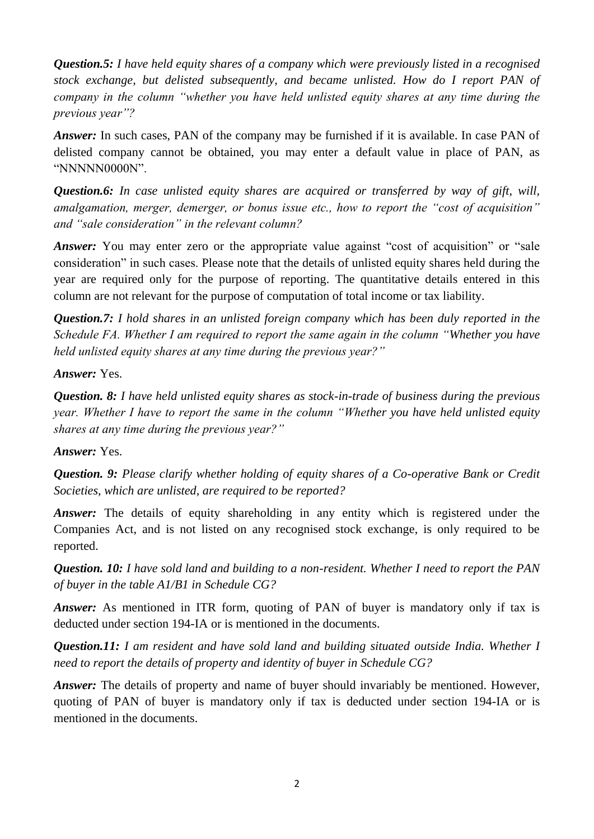*Question.5: I have held equity shares of a company which were previously listed in a recognised stock exchange, but delisted subsequently, and became unlisted. How do I report PAN of company in the column "whether you have held unlisted equity shares at any time during the previous year"?*

*Answer:* In such cases, PAN of the company may be furnished if it is available. In case PAN of delisted company cannot be obtained, you may enter a default value in place of PAN, as "NNNNN0000N".

*Question.6: In case unlisted equity shares are acquired or transferred by way of gift, will, amalgamation, merger, demerger, or bonus issue etc., how to report the "cost of acquisition" and "sale consideration" in the relevant column?*

*Answer*: You may enter zero or the appropriate value against "cost of acquisition" or "sale consideration" in such cases. Please note that the details of unlisted equity shares held during the year are required only for the purpose of reporting. The quantitative details entered in this column are not relevant for the purpose of computation of total income or tax liability.

*Question.7: I hold shares in an unlisted foreign company which has been duly reported in the Schedule FA. Whether I am required to report the same again in the column "Whether you have held unlisted equity shares at any time during the previous year?"* 

*Answer:* Yes.

*Question. 8: I have held unlisted equity shares as stock-in-trade of business during the previous year. Whether I have to report the same in the column "Whether you have held unlisted equity shares at any time during the previous year?"* 

*Answer:* Yes.

*Question. 9: Please clarify whether holding of equity shares of a Co-operative Bank or Credit Societies, which are unlisted, are required to be reported?* 

*Answer*: The details of equity shareholding in any entity which is registered under the Companies Act, and is not listed on any recognised stock exchange, is only required to be reported.

*Question. 10: I have sold land and building to a non-resident. Whether I need to report the PAN of buyer in the table A1/B1 in Schedule CG?* 

*Answer*: As mentioned in ITR form, quoting of PAN of buyer is mandatory only if tax is deducted under section 194-IA or is mentioned in the documents.

*Question.11: I am resident and have sold land and building situated outside India. Whether I need to report the details of property and identity of buyer in Schedule CG?* 

*Answer:* The details of property and name of buyer should invariably be mentioned. However, quoting of PAN of buyer is mandatory only if tax is deducted under section 194-IA or is mentioned in the documents.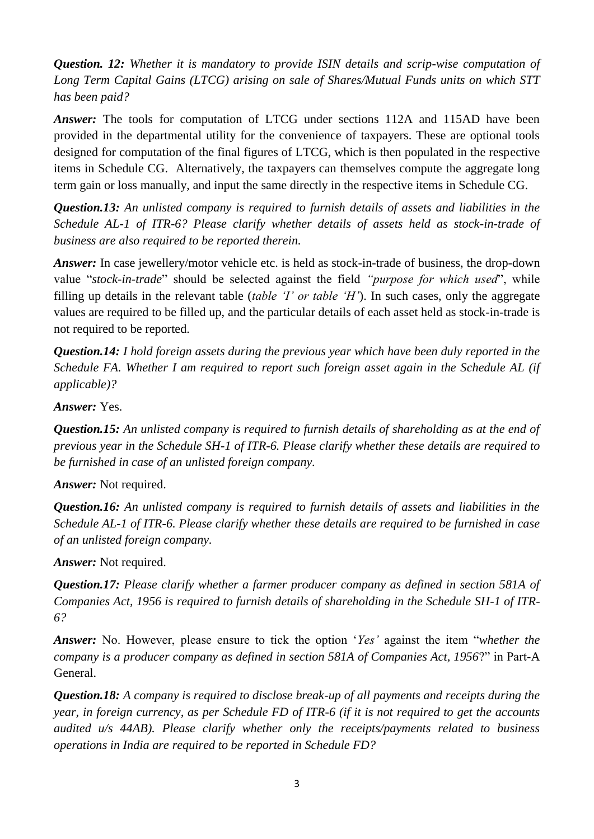*Question. 12: Whether it is mandatory to provide ISIN details and scrip-wise computation of Long Term Capital Gains (LTCG) arising on sale of Shares/Mutual Funds units on which STT has been paid?*

*Answer:* The tools for computation of LTCG under sections 112A and 115AD have been provided in the departmental utility for the convenience of taxpayers. These are optional tools designed for computation of the final figures of LTCG, which is then populated in the respective items in Schedule CG. Alternatively, the taxpayers can themselves compute the aggregate long term gain or loss manually, and input the same directly in the respective items in Schedule CG.

*Question.13: An unlisted company is required to furnish details of assets and liabilities in the Schedule AL-1 of ITR-6? Please clarify whether details of assets held as stock-in-trade of business are also required to be reported therein.* 

*Answer:* In case jewellery/motor vehicle etc. is held as stock-in-trade of business, the drop-down value "*stock-in-trade*" should be selected against the field *"purpose for which used*", while filling up details in the relevant table (*table "I" or table "H"*). In such cases, only the aggregate values are required to be filled up, and the particular details of each asset held as stock-in-trade is not required to be reported.

*Question.14: I hold foreign assets during the previous year which have been duly reported in the Schedule FA. Whether I am required to report such foreign asset again in the Schedule AL (if applicable)?* 

*Answer:* Yes.

*Question.15: An unlisted company is required to furnish details of shareholding as at the end of previous year in the Schedule SH-1 of ITR-6. Please clarify whether these details are required to be furnished in case of an unlisted foreign company.* 

*Answer:* Not required.

*Question.16: An unlisted company is required to furnish details of assets and liabilities in the Schedule AL-1 of ITR-6. Please clarify whether these details are required to be furnished in case of an unlisted foreign company.* 

*Answer:* Not required.

*Question.17: Please clarify whether a farmer producer company as defined in section 581A of Companies Act, 1956 is required to furnish details of shareholding in the Schedule SH-1 of ITR-6?*

*Answer:* No. However, please ensure to tick the option "*Yes"* against the item "*whether the company is a producer company as defined in section 581A of Companies Act, 1956*?" in Part-A General.

*Question.18: A company is required to disclose break-up of all payments and receipts during the year, in foreign currency, as per Schedule FD of ITR-6 (if it is not required to get the accounts audited u/s 44AB). Please clarify whether only the receipts/payments related to business operations in India are required to be reported in Schedule FD?*